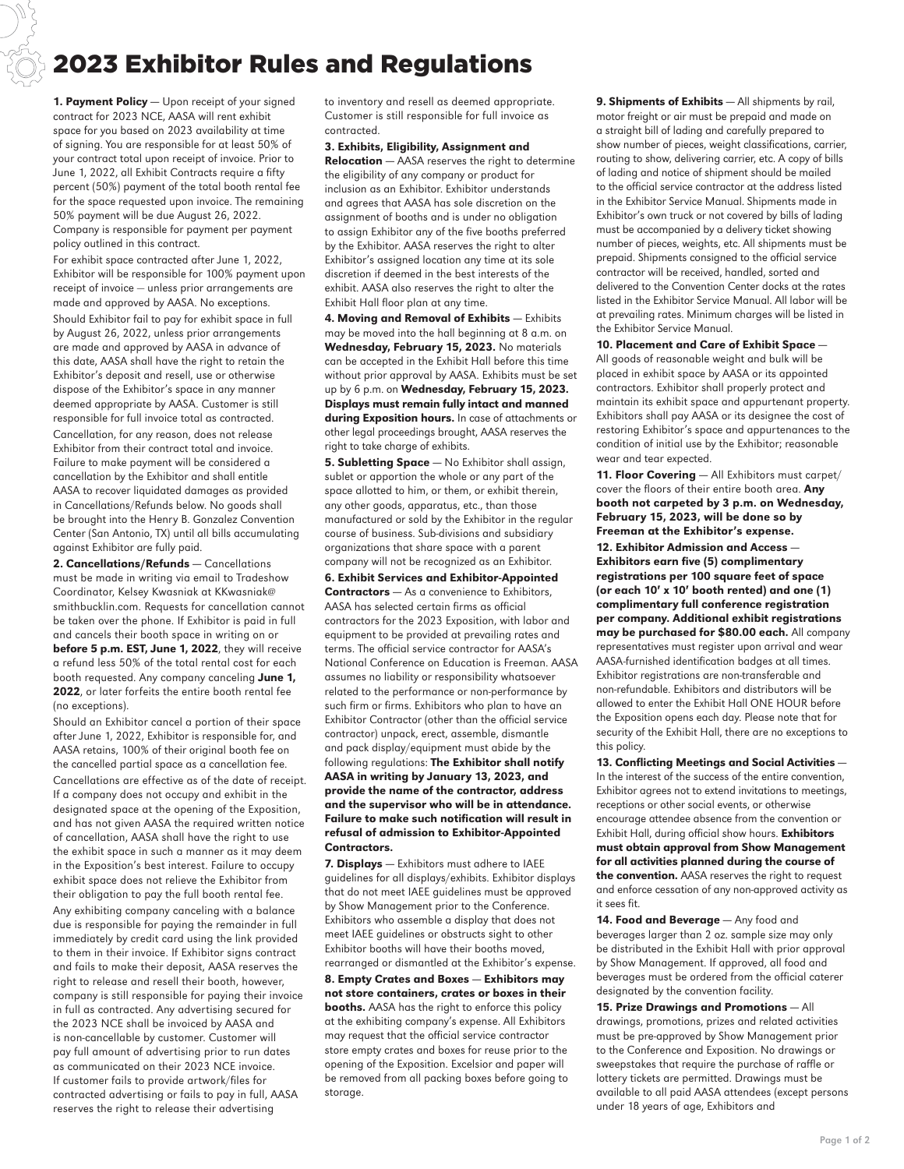## 2023 Exhibitor Rules and Regulations

1. Payment Policy - Upon receipt of your signed contract for 2023 NCE, AASA will rent exhibit space for you based on 2023 availability at time of signing. You are responsible for at least 50% of your contract total upon receipt of invoice. Prior to June 1, 2022, all Exhibit Contracts require a fifty percent (50%) payment of the total booth rental fee for the space requested upon invoice. The remaining 50% payment will be due August 26, 2022. Company is responsible for payment per payment policy outlined in this contract.

For exhibit space contracted after June 1, 2022, Exhibitor will be responsible for 100% payment upon receipt of invoice — unless prior arrangements are made and approved by AASA. No exceptions. Should Exhibitor fail to pay for exhibit space in full by August 26, 2022, unless prior arrangements are made and approved by AASA in advance of this date, AASA shall have the right to retain the Exhibitor's deposit and resell, use or otherwise dispose of the Exhibitor's space in any manner deemed appropriate by AASA. Customer is still responsible for full invoice total as contracted.

Cancellation, for any reason, does not release Exhibitor from their contract total and invoice. Failure to make payment will be considered a cancellation by the Exhibitor and shall entitle AASA to recover liquidated damages as provided in Cancellations/Refunds below. No goods shall be brought into the Henry B. Gonzalez Convention Center (San Antonio, TX) until all bills accumulating against Exhibitor are fully paid.

2. Cancellations/Refunds — Cancellations must be made in writing via email to Tradeshow Coordinator, Kelsey Kwasniak at KKwasniak@ smithbucklin.com. Requests for cancellation cannot be taken over the phone. If Exhibitor is paid in full and cancels their booth space in writing on or before 5 p.m. EST, June 1, 2022, they will receive a refund less 50% of the total rental cost for each booth requested. Any company canceling June 1, 2022, or later forfeits the entire booth rental fee (no exceptions).

Should an Exhibitor cancel a portion of their space after June 1, 2022, Exhibitor is responsible for, and AASA retains, 100% of their original booth fee on the cancelled partial space as a cancellation fee. Cancellations are effective as of the date of receipt. If a company does not occupy and exhibit in the designated space at the opening of the Exposition, and has not given AASA the required written notice of cancellation, AASA shall have the right to use the exhibit space in such a manner as it may deem in the Exposition's best interest. Failure to occupy exhibit space does not relieve the Exhibitor from their obligation to pay the full booth rental fee.

Any exhibiting company canceling with a balance due is responsible for paying the remainder in full immediately by credit card using the link provided to them in their invoice. If Exhibitor signs contract and fails to make their deposit, AASA reserves the right to release and resell their booth, however, company is still responsible for paying their invoice in full as contracted. Any advertising secured for the 2023 NCE shall be invoiced by AASA and is non-cancellable by customer. Customer will pay full amount of advertising prior to run dates as communicated on their 2023 NCE invoice. If customer fails to provide artwork/files for contracted advertising or fails to pay in full, AASA reserves the right to release their advertising

to inventory and resell as deemed appropriate. Customer is still responsible for full invoice as contracted.

3. Exhibits, Eligibility, Assignment and

**Relocation** – AASA reserves the right to determine the eligibility of any company or product for inclusion as an Exhibitor. Exhibitor understands and agrees that AASA has sole discretion on the assignment of booths and is under no obligation to assign Exhibitor any of the five booths preferred by the Exhibitor. AASA reserves the right to alter Exhibitor's assigned location any time at its sole discretion if deemed in the best interests of the exhibit. AASA also reserves the right to alter the Exhibit Hall floor plan at any time.

4. Moving and Removal of Exhibits - Exhibits may be moved into the hall beginning at 8 a.m. on Wednesday, February 15, 2023. No materials can be accepted in the Exhibit Hall before this time without prior approval by AASA. Exhibits must be set up by 6 p.m. on Wednesday, February 15, 2023. Displays must remain fully intact and manned during Exposition hours. In case of attachments or other legal proceedings brought, AASA reserves the right to take charge of exhibits.

**5. Subletting Space** - No Exhibitor shall assign, sublet or apportion the whole or any part of the space allotted to him, or them, or exhibit therein, any other goods, apparatus, etc., than those manufactured or sold by the Exhibitor in the regular course of business. Sub-divisions and subsidiary organizations that share space with a parent company will not be recognized as an Exhibitor.

6. Exhibit Services and Exhibitor-Appointed Contractors - As a convenience to Exhibitors, AASA has selected certain firms as official contractors for the 2023 Exposition, with labor and equipment to be provided at prevailing rates and terms. The official service contractor for AASA's National Conference on Education is Freeman. AASA assumes no liability or responsibility whatsoever related to the performance or non-performance by such firm or firms. Exhibitors who plan to have an Exhibitor Contractor (other than the official service contractor) unpack, erect, assemble, dismantle and pack display/equipment must abide by the following regulations: The Exhibitor shall notify AASA in writing by January 13, 2023, and provide the name of the contractor, address and the supervisor who will be in attendance. Failure to make such notification will result in refusal of admission to Exhibitor-Appointed Contractors.

7. Displays - Exhibitors must adhere to IAEE guidelines for all displays/exhibits. Exhibitor displays that do not meet IAEE guidelines must be approved by Show Management prior to the Conference. Exhibitors who assemble a display that does not meet IAEE guidelines or obstructs sight to other Exhibitor booths will have their booths moved, rearranged or dismantled at the Exhibitor's expense.

8. Empty Crates and Boxes — Exhibitors may not store containers, crates or boxes in their **booths.** AASA has the right to enforce this policy at the exhibiting company's expense. All Exhibitors may request that the official service contractor store empty crates and boxes for reuse prior to the opening of the Exposition. Excelsior and paper will be removed from all packing boxes before going to storage.

9. Shipments of Exhibits - All shipments by rail, motor freight or air must be prepaid and made on a straight bill of lading and carefully prepared to show number of pieces, weight classifications, carrier, routing to show, delivering carrier, etc. A copy of bills of lading and notice of shipment should be mailed to the official service contractor at the address listed in the Exhibitor Service Manual. Shipments made in Exhibitor's own truck or not covered by bills of lading must be accompanied by a delivery ticket showing number of pieces, weights, etc. All shipments must be prepaid. Shipments consigned to the official service contractor will be received, handled, sorted and delivered to the Convention Center docks at the rates listed in the Exhibitor Service Manual. All labor will be at prevailing rates. Minimum charges will be listed in the Exhibitor Service Manual.

## 10. Placement and Care of Exhibit Space —

All goods of reasonable weight and bulk will be placed in exhibit space by AASA or its appointed contractors. Exhibitor shall properly protect and maintain its exhibit space and appurtenant property. Exhibitors shall pay AASA or its designee the cost of restoring Exhibitor's space and appurtenances to the condition of initial use by the Exhibitor; reasonable wear and tear expected.

11. Floor Covering - All Exhibitors must carpet/ cover the floors of their entire booth area. Any booth not carpeted by 3 p.m. on Wednesday, February 15, 2023, will be done so by Freeman at the Exhibitor's expense.

12. Exhibitor Admission and Access — Exhibitors earn five (5) complimentary registrations per 100 square feet of space (or each 10**'** x 10**'** booth rented) and one (1) complimentary full conference registration per company. Additional exhibit registrations may be purchased for \$80.00 each. All company representatives must register upon arrival and wear AASA-furnished identification badges at all times. Exhibitor registrations are non-transferable and non-refundable. Exhibitors and distributors will be allowed to enter the Exhibit Hall ONE HOUR before the Exposition opens each day. Please note that for security of the Exhibit Hall, there are no exceptions to this policy.

13. Conflicting Meetings and Social Activities — In the interest of the success of the entire convention, Exhibitor agrees not to extend invitations to meetings, receptions or other social events, or otherwise encourage attendee absence from the convention or Exhibit Hall, during official show hours. Exhibitors must obtain approval from Show Management for all activities planned during the course of the convention. AASA reserves the right to request and enforce cessation of any non-approved activity as it sees fit.

14. Food and Beverage - Any food and beverages larger than 2 oz. sample size may only be distributed in the Exhibit Hall with prior approval by Show Management. If approved, all food and beverages must be ordered from the official caterer designated by the convention facility.

15. Prize Drawings and Promotions — All drawings, promotions, prizes and related activities must be pre-approved by Show Management prior to the Conference and Exposition. No drawings or sweepstakes that require the purchase of raffle or lottery tickets are permitted. Drawings must be available to all paid AASA attendees (except persons under 18 years of age, Exhibitors and